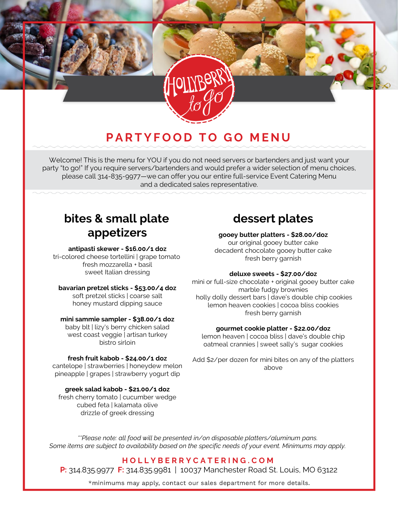# **PARTYFOOD TO GO MENU**

Welcome! This is the menu for YOU if you do not need servers or bartenders and just want your party "to go!" If you require servers/bartenders and would prefer a wider selection of menu choices, please call 314-835-9977—we can offer you our entire full-service Event Catering Menu and a dedicated sales representative.

# **bites & small plate appetizers**

#### **antipasti skewer - \$16.00/1 doz**

tri-colored cheese tortellini | grape tomato fresh mozzarella + basil sweet Italian dressing

#### **bavarian pretzel sticks - \$53.00/4 doz**

soft pretzel sticks | coarse salt honey mustard dipping sauce

#### **mini sammie sampler - \$38.00/1 doz**

baby blt | lizy's berry chicken salad west coast veggie | artisan turkey bistro sirloin

#### **fresh fruit kabob - \$24.00/1 doz**

cantelope | strawberries | honeydew melon pineapple | grapes | strawberry yogurt dip

#### **greek salad kabob - \$21.00/1 doz**

fresh cherry tomato | cucumber wedge cubed feta | kalamata olive drizzle of greek dressing

# **dessert plates**

#### **gooey butter platters - \$28.00/doz**

our original gooey butter cake decadent chocolate gooey butter cake fresh berry garnish

#### **deluxe sweets - \$27.00/doz**

mini or full-size chocolate + original gooey butter cake marble fudgy brownies holly dolly dessert bars | dave's double chip cookies lemon heaven cookies | cocoa bliss cookies fresh berry garnish

#### **gourmet cookie platter - \$22.00/doz**

lemon heaven | cocoa bliss | dave's double chip oatmeal crannies | sweet sally's sugar cookies

Add \$2/per dozen for mini bites on any of the platters above

*\*\*Please note: all food will be presented in/on disposable platters/aluminum pans. Some items are subject to availability based on the specific needs of your event. Minimums may apply.* 

### **H O L L Y B E R R Y C A T E R I N G . C O M**

**P:** 314.835.9977 **F:** 314.835.9981 | 10037 Manchester Road St. Louis, MO 63122

\*minimums may apply, contact our sales department for more details.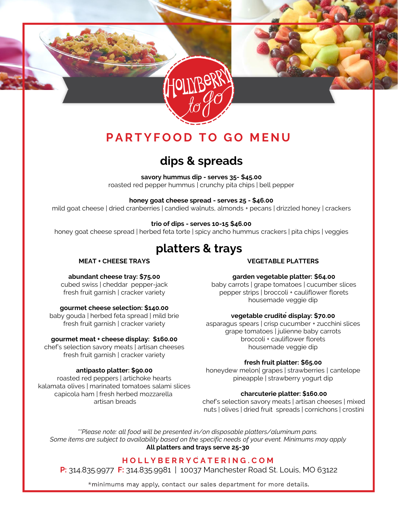

# **PARTYFOOD TO GO MENU**

# **dips & spreads**

**savory hummus dip - serves 35- \$45.00**  roasted red pepper hummus | crunchy pita chips | bell pepper

#### **honey goat cheese spread - serves 25 - \$46.00**

mild goat cheese | dried cranberries | candied walnuts, almonds + pecans | drizzled honey | crackers

#### **trio of dips - serves 10-15 \$46.00**

honey goat cheese spread | herbed feta torte | spicy ancho hummus crackers | pita chips | veggies

### **platters & trays**

#### **MEAT + CHEESE TRAYS**

### **VEGETABLE PLATTERS**

### **abundant cheese tray: \$75.00**

cubed swiss | cheddar pepper-jack fresh fruit garnish | cracker variety

#### **gourmet cheese selection: \$140.00**

baby gouda | herbed feta spread | mild brie fresh fruit garnish | cracker variety

#### **gourmet meat + cheese display: \$160.00**

chef's selection savory meats | artisan cheeses fresh fruit garnish | cracker variety

#### **antipasto platter: \$90.00**

roasted red peppers | artichoke hearts kalamata olives | marinated tomatoes salami slices capicola ham | fresh herbed mozzarella artisan breads

#### **garden vegetable platter: \$64.00**

baby carrots | grape tomatoes | cucumber slices pepper strips | broccoli + cauliflower florets housemade veggie dip

#### **vegetable cruditédisplay: \$70.00**

asparagus spears | crisp cucumber + zucchini slices grape tomatoes | julienne baby carrots broccoli + cauliflower florets housemade veggie dip

#### **fresh fruit platter: \$65.00**

honeydew melon| grapes | strawberries | cantelope pineapple | strawberry yogurt dip

#### **charcuterie platter: \$160.00**

chef's selection savory meats | artisan cheeses | mixed nuts | olives | dried fruit spreads | cornichons | crostini

*\*\*Please note: all food will be presented in/on disposable platters/aluminum pans. Some items are subject to availability based on the specific needs of your event. Minimums may apply* **All platters and trays serve 25-30**

### *.*  **H O L L Y B E R R Y C A T E R I N G . C O M**

**P:** 314.835.9977 **F:** 314.835.9981 | 10037 Manchester Road St. Louis, MO 63122

\*minimums may apply, contact our sales department for more details.